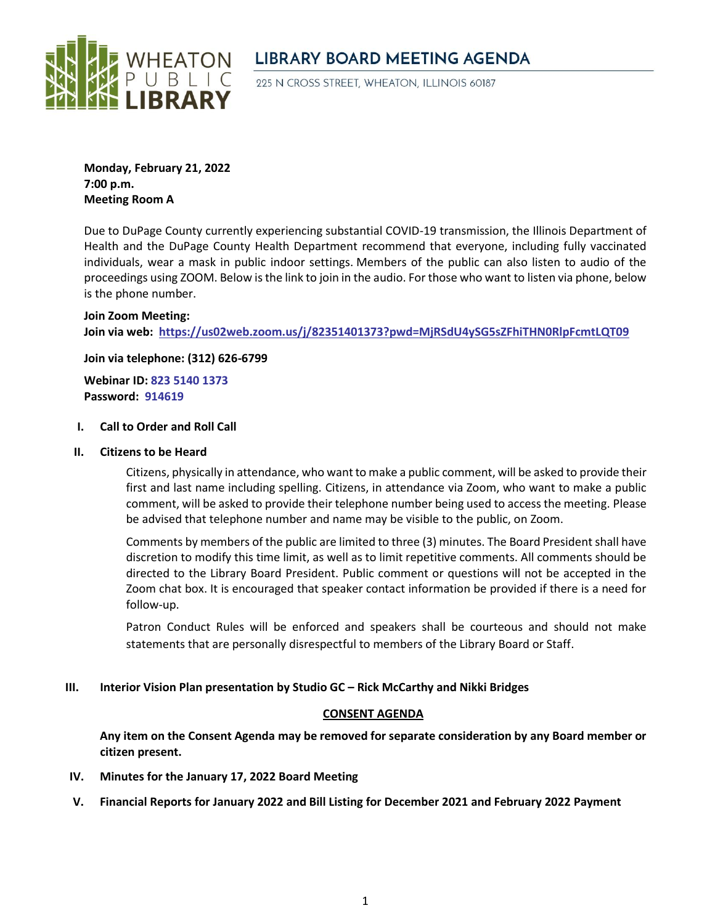

# **LIBRARY BOARD MEETING AGENDA**

225 N CROSS STREET, WHEATON, ILLINOIS 60187

**Monday, February 21, 2022 7:00 p.m. Meeting Room A**

Due to DuPage County currently experiencing substantial COVID-19 transmission, the Illinois Department of Health and the DuPage County Health Department recommend that everyone, including fully vaccinated individuals, wear a mask in public indoor settings. Members of the public can also listen to audio of the proceedings using ZOOM. Below is the link to join in the audio. For those who want to listen via phone, below is the phone number.

### **Join Zoom Meeting:**

**Join via web: <https://us02web.zoom.us/j/82351401373?pwd=MjRSdU4ySG5sZFhiTHN0RlpFcmtLQT09>**

**Join via telephone: (312) 626-6799**

**Webinar ID: 823 5140 1373 Password: 914619**

### **I. Call to Order and Roll Call**

**II. Citizens to be Heard**

Citizens, physically in attendance, who want to make a public comment, will be asked to provide their first and last name including spelling. Citizens, in attendance via Zoom, who want to make a public comment, will be asked to provide their telephone number being used to access the meeting. Please be advised that telephone number and name may be visible to the public, on Zoom.

Comments by members of the public are limited to three (3) minutes. The Board President shall have discretion to modify this time limit, as well as to limit repetitive comments. All comments should be directed to the Library Board President. Public comment or questions will not be accepted in the Zoom chat box. It is encouraged that speaker contact information be provided if there is a need for follow-up.

Patron Conduct Rules will be enforced and speakers shall be courteous and should not make statements that are personally disrespectful to members of the Library Board or Staff.

## **III. Interior Vision Plan presentation by Studio GC – Rick McCarthy and Nikki Bridges**

### **CONSENT AGENDA**

**Any item on the Consent Agenda may be removed for separate consideration by any Board member or citizen present.**

- **IV. Minutes for the January 17, 2022 Board Meeting**
- **V. Financial Reports for January 2022 and Bill Listing for December 2021 and February 2022 Payment**